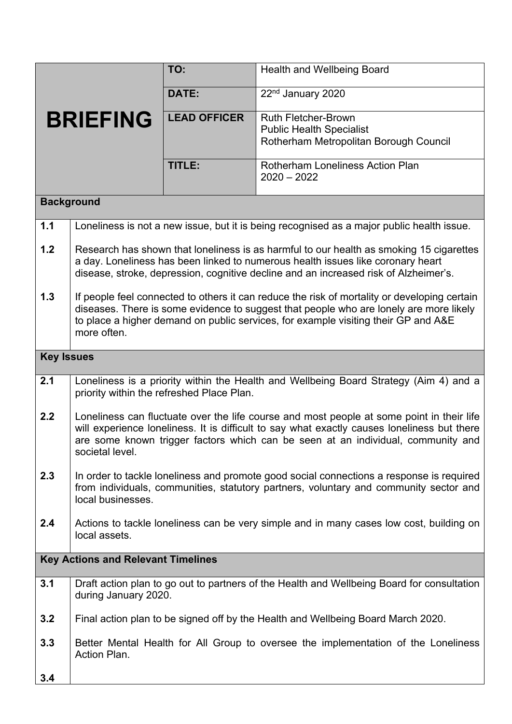|                                           |                                                                                                                                                                                                                                                                                                 | TO:                 | <b>Health and Wellbeing Board</b>                                                                       |  |
|-------------------------------------------|-------------------------------------------------------------------------------------------------------------------------------------------------------------------------------------------------------------------------------------------------------------------------------------------------|---------------------|---------------------------------------------------------------------------------------------------------|--|
| <b>BRIEFING</b>                           |                                                                                                                                                                                                                                                                                                 | DATE:               | 22 <sup>nd</sup> January 2020                                                                           |  |
|                                           |                                                                                                                                                                                                                                                                                                 | <b>LEAD OFFICER</b> | <b>Ruth Fletcher-Brown</b><br><b>Public Health Specialist</b><br>Rotherham Metropolitan Borough Council |  |
|                                           |                                                                                                                                                                                                                                                                                                 | <b>TITLE:</b>       | <b>Rotherham Loneliness Action Plan</b><br>$2020 - 2022$                                                |  |
| <b>Background</b>                         |                                                                                                                                                                                                                                                                                                 |                     |                                                                                                         |  |
| 1.1                                       | Loneliness is not a new issue, but it is being recognised as a major public health issue.                                                                                                                                                                                                       |                     |                                                                                                         |  |
| 1.2                                       | Research has shown that loneliness is as harmful to our health as smoking 15 cigarettes<br>a day. Loneliness has been linked to numerous health issues like coronary heart<br>disease, stroke, depression, cognitive decline and an increased risk of Alzheimer's.                              |                     |                                                                                                         |  |
| 1.3                                       | If people feel connected to others it can reduce the risk of mortality or developing certain<br>diseases. There is some evidence to suggest that people who are lonely are more likely<br>to place a higher demand on public services, for example visiting their GP and A&E<br>more often.     |                     |                                                                                                         |  |
| <b>Key Issues</b>                         |                                                                                                                                                                                                                                                                                                 |                     |                                                                                                         |  |
| 2.1                                       | Loneliness is a priority within the Health and Wellbeing Board Strategy (Aim 4) and a<br>priority within the refreshed Place Plan.                                                                                                                                                              |                     |                                                                                                         |  |
| 2.2                                       | Loneliness can fluctuate over the life course and most people at some point in their life<br>will experience loneliness. It is difficult to say what exactly causes loneliness but there<br>are some known trigger factors which can be seen at an individual, community and<br>societal level. |                     |                                                                                                         |  |
| 2.3                                       | In order to tackle loneliness and promote good social connections a response is required<br>from individuals, communities, statutory partners, voluntary and community sector and<br>local businesses.                                                                                          |                     |                                                                                                         |  |
| 2.4                                       | Actions to tackle loneliness can be very simple and in many cases low cost, building on<br>local assets.                                                                                                                                                                                        |                     |                                                                                                         |  |
| <b>Key Actions and Relevant Timelines</b> |                                                                                                                                                                                                                                                                                                 |                     |                                                                                                         |  |
| 3.1                                       | Draft action plan to go out to partners of the Health and Wellbeing Board for consultation<br>during January 2020.                                                                                                                                                                              |                     |                                                                                                         |  |
| 3.2                                       | Final action plan to be signed off by the Health and Wellbeing Board March 2020.                                                                                                                                                                                                                |                     |                                                                                                         |  |
| 3.3                                       | Better Mental Health for All Group to oversee the implementation of the Loneliness<br>Action Plan.                                                                                                                                                                                              |                     |                                                                                                         |  |
| 3.4                                       |                                                                                                                                                                                                                                                                                                 |                     |                                                                                                         |  |